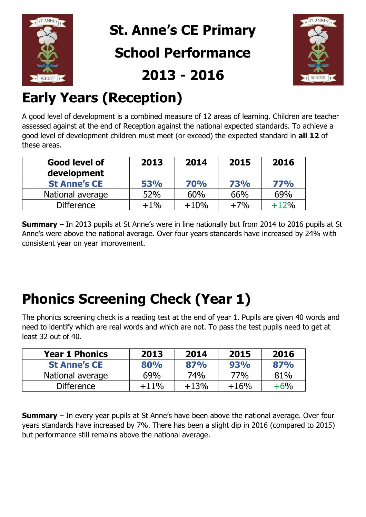

**St. Anne's CE Primary School Performance 2013 - 2016**



# **Early Years (Reception)**

A good level of development is a combined measure of 12 areas of learning. Children are teacher assessed against at the end of Reception against the national expected standards. To achieve a good level of development children must meet (or exceed) the expected standard in **all 12** of these areas.

| Good level of<br>development | 2013       | 2014       | 2015       | 2016   |
|------------------------------|------------|------------|------------|--------|
| <b>St Anne's CE</b>          | <b>53%</b> | <b>70%</b> | <b>73%</b> | 77%    |
| National average             | 52%        | 60%        | 66%        | 69%    |
| <b>Difference</b>            | $+1%$      | $+10%$     | $+7%$      | $+12%$ |

**Summary** – In 2013 pupils at St Anne's were in line nationally but from 2014 to 2016 pupils at St Anne's were above the national average. Over four years standards have increased by 24% with consistent year on year improvement.

# **Phonics Screening Check (Year 1)**

The phonics screening check is a reading test at the end of year 1. Pupils are given 40 words and need to identify which are real words and which are not. To pass the test pupils need to get at least 32 out of 40.

| <b>Year 1 Phonics</b> | 2013   | 2014   | 2015   | 2016  |
|-----------------------|--------|--------|--------|-------|
| <b>St Anne's CE</b>   | 80%    | 87%    | 93%    | 87%   |
| National average      | 69%    | 74%    | 77%    | 81%   |
| <b>Difference</b>     | $+11%$ | $+13%$ | $+16%$ | $+6%$ |

**Summary** – In every year pupils at St Anne's have been above the national average. Over four years standards have increased by 7%. There has been a slight dip in 2016 (compared to 2015) but performance still remains above the national average.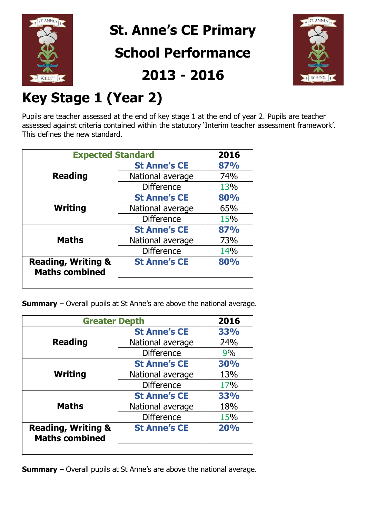

**St. Anne's CE Primary**

#### **School Performance**

**2013 - 2016**



# **Key Stage 1 (Year 2)**

Pupils are teacher assessed at the end of key stage 1 at the end of year 2. Pupils are teacher assessed against criteria contained within the statutory 'Interim teacher assessment framework'. This defines the new standard.

| <b>Expected Standard</b>      |                     | 2016       |
|-------------------------------|---------------------|------------|
| <b>Reading</b>                | <b>St Anne's CE</b> | 87%        |
|                               | National average    | 74%        |
|                               | <b>Difference</b>   | 13%        |
| Writing                       | <b>St Anne's CE</b> | 80%        |
|                               | National average    | 65%        |
|                               | <b>Difference</b>   | <b>15%</b> |
| <b>Maths</b>                  | <b>St Anne's CE</b> | 87%        |
|                               | National average    | 73%        |
|                               | <b>Difference</b>   | 14%        |
| <b>Reading, Writing &amp;</b> | <b>St Anne's CE</b> | 80%        |
| <b>Maths combined</b>         |                     |            |
|                               |                     |            |

**Summary** – Overall pupils at St Anne's are above the national average.

| <b>Greater Depth</b>          |                     | 2016 |
|-------------------------------|---------------------|------|
| <b>Reading</b>                | <b>St Anne's CE</b> | 33%  |
|                               | National average    | 24%  |
|                               | <b>Difference</b>   | 9%   |
| <b>Writing</b>                | <b>St Anne's CE</b> | 30%  |
|                               | National average    | 13%  |
|                               | <b>Difference</b>   | 17%  |
| <b>Maths</b>                  | <b>St Anne's CE</b> | 33%  |
|                               | National average    | 18%  |
|                               | <b>Difference</b>   | 15%  |
| <b>Reading, Writing &amp;</b> | <b>St Anne's CE</b> | 20%  |
| <b>Maths combined</b>         |                     |      |
|                               |                     |      |

**Summary** – Overall pupils at St Anne's are above the national average.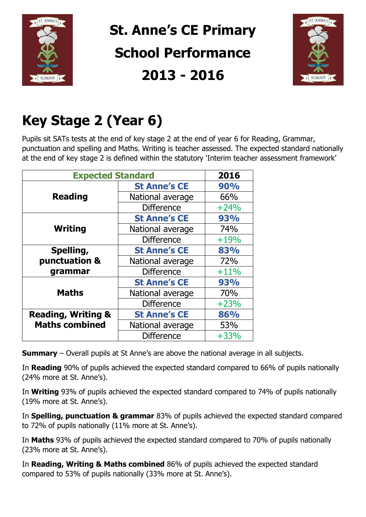

# **St. Anne's CE Primary School Performance 2013 - 2016**



# **Key Stage 2 (Year 6)**

Pupils sit SATs tests at the end of key stage 2 at the end of year 6 for Reading, Grammar, punctuation and spelling and Maths. Writing is teacher assessed. The expected standard nationally at the end of key stage 2 is defined within the statutory 'Interim teacher assessment framework'

| <b>Expected Standard</b>      | 2016                |        |
|-------------------------------|---------------------|--------|
|                               | <b>St Anne's CE</b> | 90%    |
| <b>Reading</b>                | National average    | 66%    |
|                               | <b>Difference</b>   | $+24%$ |
|                               | <b>St Anne's CE</b> | 93%    |
| Writing                       | National average    | 74%    |
|                               | <b>Difference</b>   | $+19%$ |
| Spelling,                     | <b>St Anne's CE</b> | 83%    |
| punctuation &                 | National average    | 72%    |
| grammar                       | <b>Difference</b>   | $+11%$ |
|                               | <b>St Anne's CE</b> | 93%    |
| <b>Maths</b>                  | National average    | 70%    |
|                               | <b>Difference</b>   | $+23%$ |
| <b>Reading, Writing &amp;</b> | <b>St Anne's CE</b> | 86%    |
| <b>Maths combined</b>         | National average    | 53%    |
|                               | <b>Difference</b>   | $+33%$ |

**Summary** – Overall pupils at St Anne's are above the national average in all subjects.

In **Reading** 90% of pupils achieved the expected standard compared to 66% of pupils nationally (24% more at St. Anne's).

In **Writing** 93% of pupils achieved the expected standard compared to 74% of pupils nationally (19% more at St. Anne's).

In **Spelling, punctuation & grammar** 83% of pupils achieved the expected standard compared to 72% of pupils nationally (11% more at St. Anne's).

In **Maths** 93% of pupils achieved the expected standard compared to 70% of pupils nationally (23% more at St. Anne's).

In **Reading, Writing & Maths combined** 86% of pupils achieved the expected standard compared to 53% of pupils nationally (33% more at St. Anne's).